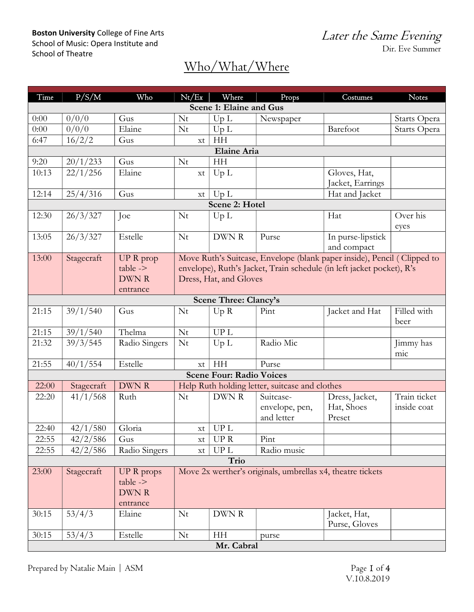### Boston University College of Fine Arts School of Music: Opera Institute and School of Theatre

Later the Same Evening Dir. Eve Summer

| Time                    | P/S/M                                                                                  | Who           | Nt/Ex                                                                   | Where                                               | Props          | Costumes          | <b>Notes</b>        |  |  |  |
|-------------------------|----------------------------------------------------------------------------------------|---------------|-------------------------------------------------------------------------|-----------------------------------------------------|----------------|-------------------|---------------------|--|--|--|
| Scene 1: Elaine and Gus |                                                                                        |               |                                                                         |                                                     |                |                   |                     |  |  |  |
| 0:00                    | 0/0/0                                                                                  | Gus           | Nt                                                                      | Up L                                                | Newspaper      |                   | Starts Opera        |  |  |  |
| 0:00                    | 0/0/0                                                                                  | Elaine        | Nt                                                                      | Up L                                                |                | Barefoot          | Starts Opera        |  |  |  |
| 6:47                    | 16/2/2                                                                                 | Gus           | xt                                                                      | HH                                                  |                |                   |                     |  |  |  |
| <b>Elaine Aria</b>      |                                                                                        |               |                                                                         |                                                     |                |                   |                     |  |  |  |
| 9:20                    | 20/1/233                                                                               | Gus           | Nt                                                                      | <b>HH</b>                                           |                |                   |                     |  |  |  |
| 10:13                   | 22/1/256                                                                               | Elaine        | xt                                                                      | Up L                                                |                | Gloves, Hat,      |                     |  |  |  |
|                         |                                                                                        |               |                                                                         |                                                     |                | Jacket, Earrings  |                     |  |  |  |
| 12:14                   | 25/4/316                                                                               | Gus           | xt                                                                      | Up L                                                |                | Hat and Jacket    |                     |  |  |  |
| Scene 2: Hotel          |                                                                                        |               |                                                                         |                                                     |                |                   |                     |  |  |  |
| 12:30                   | 26/3/327                                                                               | Joe           | Nt                                                                      | Up L                                                |                | Hat               | Over his            |  |  |  |
|                         |                                                                                        |               |                                                                         |                                                     |                |                   | eyes                |  |  |  |
| 13:05                   | 26/3/327                                                                               | Estelle       | Nt                                                                      | DWN R                                               | Purse          | In purse-lipstick |                     |  |  |  |
|                         |                                                                                        |               |                                                                         |                                                     |                | and compact       |                     |  |  |  |
| 13:00                   | Stagecraft                                                                             | $UPR$ prop    | Move Ruth's Suitcase, Envelope (blank paper inside), Pencil (Clipped to |                                                     |                |                   |                     |  |  |  |
|                         |                                                                                        | $table$ ->    | envelope), Ruth's Jacket, Train schedule (in left jacket pocket), R's   |                                                     |                |                   |                     |  |  |  |
|                         |                                                                                        | <b>DWNR</b>   |                                                                         | Dress, Hat, and Gloves                              |                |                   |                     |  |  |  |
|                         | entrance                                                                               |               |                                                                         |                                                     |                |                   |                     |  |  |  |
|                         |                                                                                        |               |                                                                         | <b>Scene Three: Clancy's</b>                        |                |                   |                     |  |  |  |
| 21:15                   | 39/1/540                                                                               | Gus           | Nt                                                                      | Up R                                                | Pint           | Jacket and Hat    | Filled with<br>beer |  |  |  |
| 21:15                   | 39/1/540                                                                               | Thelma        | Nt                                                                      | <b>UPL</b>                                          |                |                   |                     |  |  |  |
| 21:32                   | 39/3/545                                                                               | Radio Singers | Nt                                                                      | Up L                                                | Radio Mic      |                   | Jimmy has           |  |  |  |
|                         |                                                                                        |               |                                                                         |                                                     |                |                   | mic                 |  |  |  |
| 21:55                   | 40/1/554                                                                               | Estelle       | xt                                                                      | HH                                                  | Purse          |                   |                     |  |  |  |
|                         |                                                                                        |               |                                                                         | <b>Scene Four: Radio Voices</b>                     |                |                   |                     |  |  |  |
| 22:00                   | <b>DWNR</b><br>Help Ruth holding letter, suitcase and clothes<br>Stagecraft            |               |                                                                         |                                                     |                |                   |                     |  |  |  |
| 22:20                   | 41/1/568                                                                               | Ruth          | Nt                                                                      | DWN R                                               | Suitcase-      | Dress, Jacket,    | Train ticket        |  |  |  |
|                         |                                                                                        |               |                                                                         |                                                     | envelope, pen, | Hat, Shoes        | inside coat         |  |  |  |
|                         |                                                                                        |               |                                                                         |                                                     | and letter     | Preset            |                     |  |  |  |
| 22:40                   | 42/1/580                                                                               | Gloria        | xt                                                                      | <b>UPL</b>                                          |                |                   |                     |  |  |  |
| 22:55                   | 42/2/586                                                                               | Gus           | xt                                                                      | <b>UPR</b>                                          | Pint           |                   |                     |  |  |  |
| 22:55                   | 42/2/586                                                                               | Radio Singers | $\mathbf{xt}$                                                           | $\mathop{\rm UP}\nolimits{\mathop{\rm L}\nolimits}$ | Radio music    |                   |                     |  |  |  |
| Trio                    |                                                                                        |               |                                                                         |                                                     |                |                   |                     |  |  |  |
| 23:00                   | Move 2x werther's originals, umbrellas x4, theatre tickets<br>Stagecraft<br>UP R props |               |                                                                         |                                                     |                |                   |                     |  |  |  |
|                         |                                                                                        | $table$ ->    |                                                                         |                                                     |                |                   |                     |  |  |  |
|                         |                                                                                        | DWN R         |                                                                         |                                                     |                |                   |                     |  |  |  |
|                         |                                                                                        | entrance      |                                                                         |                                                     |                |                   |                     |  |  |  |
| 30:15                   | 53/4/3                                                                                 | Elaine        | Nt                                                                      | $\rm{DWN}$ R                                        |                | Jacket, Hat,      |                     |  |  |  |
|                         |                                                                                        |               |                                                                         |                                                     |                | Purse, Gloves     |                     |  |  |  |
| 30:15                   | 53/4/3                                                                                 | Estelle       | Nt                                                                      | HH                                                  | purse          |                   |                     |  |  |  |
| Mr. Cabral              |                                                                                        |               |                                                                         |                                                     |                |                   |                     |  |  |  |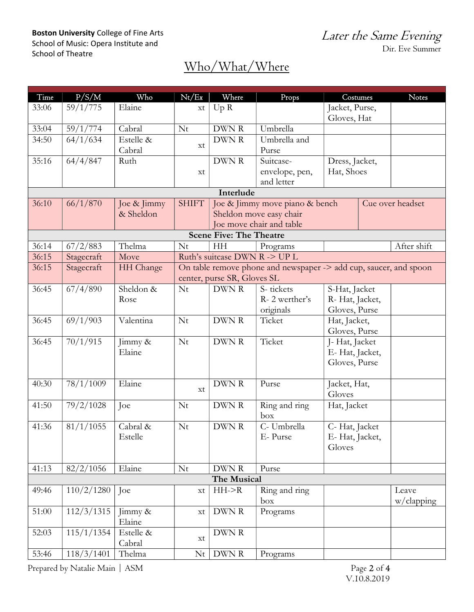### Boston University College of Fine Arts School of Music: Opera Institute and School of Theatre

| Time                           | P/S/M                     | Who                   | Nt/Ex                                                             | Where                       | Props                           | Costumes                      |  | <b>Notes</b>     |  |  |  |
|--------------------------------|---------------------------|-----------------------|-------------------------------------------------------------------|-----------------------------|---------------------------------|-------------------------------|--|------------------|--|--|--|
| 33:06                          | 59/1/775                  | Elaine                | xt                                                                | Up R                        |                                 | Jacket, Purse,<br>Gloves, Hat |  |                  |  |  |  |
| 33:04                          | 59/1/774                  | Cabral                | Nt                                                                | DWN R                       | Umbrella                        |                               |  |                  |  |  |  |
| 34:50                          | 64/1/634                  | Estelle &             |                                                                   | DWN R                       | Umbrella and                    |                               |  |                  |  |  |  |
|                                |                           | Cabral                | xt                                                                |                             | Purse                           |                               |  |                  |  |  |  |
| 35:16                          | 64/4/847                  | Ruth                  |                                                                   | DWN R                       | Suitcase-                       | Dress, Jacket,                |  |                  |  |  |  |
|                                |                           |                       | xt                                                                |                             | envelope, pen,                  | Hat, Shoes                    |  |                  |  |  |  |
|                                |                           |                       |                                                                   |                             | and letter                      |                               |  |                  |  |  |  |
| Interlude                      |                           |                       |                                                                   |                             |                                 |                               |  |                  |  |  |  |
| 36:10                          | 66/1/870                  | Joe & Jimmy           | <b>SHIFT</b>                                                      |                             | Joe & Jimmy move piano & bench  |                               |  | Cue over headset |  |  |  |
|                                |                           | & Sheldon             |                                                                   |                             | Sheldon move easy chair         |                               |  |                  |  |  |  |
|                                |                           |                       |                                                                   | Joe move chair and table    |                                 |                               |  |                  |  |  |  |
| <b>Scene Five: The Theatre</b> |                           |                       |                                                                   |                             |                                 |                               |  |                  |  |  |  |
| 36:14                          | 67/2/883                  | Thelma                | Nt                                                                | HH                          | Programs                        |                               |  | After shift      |  |  |  |
| 36:15                          | Stagecraft                | Move                  | Ruth's suitcase DWN R -> UP L                                     |                             |                                 |                               |  |                  |  |  |  |
| 36:15                          | Stagecraft                | HH Change             | On table remove phone and newspaper -> add cup, saucer, and spoon |                             |                                 |                               |  |                  |  |  |  |
|                                |                           |                       |                                                                   | center, purse SR, Gloves SL |                                 |                               |  |                  |  |  |  |
| 36:45                          | 67/4/890                  | Sheldon &             | Nt                                                                | DWN R                       | S-tickets                       | S-Hat, Jacket                 |  |                  |  |  |  |
|                                |                           | Rose                  |                                                                   |                             | R-2 werther's                   | R- Hat, Jacket,               |  |                  |  |  |  |
|                                |                           |                       |                                                                   |                             | originals                       | Gloves, Purse                 |  |                  |  |  |  |
| 36:45                          | 69/1/903                  | Valentina             | Nt                                                                | DWN R                       | Ticket                          | Hat, Jacket,                  |  |                  |  |  |  |
|                                |                           |                       |                                                                   |                             |                                 | Gloves, Purse                 |  |                  |  |  |  |
| 36:45                          | 70/1/915<br>Nt<br>Jimmy & |                       |                                                                   | DWN R                       | Ticket                          | J-Hat, Jacket                 |  |                  |  |  |  |
|                                |                           | Elaine                |                                                                   |                             | E-Hat, Jacket,                  |                               |  |                  |  |  |  |
|                                |                           |                       |                                                                   | Gloves, Purse               |                                 |                               |  |                  |  |  |  |
| 40:30                          | 78/1/1009                 | Elaine                |                                                                   | DWN R                       |                                 |                               |  |                  |  |  |  |
|                                |                           |                       | xt                                                                |                             | Jacket, Hat,<br>Purse<br>Gloves |                               |  |                  |  |  |  |
| 41:50                          | 79/2/1028                 | Joe                   | Nt                                                                | DWN R                       | Ring and ring                   | Hat, Jacket                   |  |                  |  |  |  |
|                                |                           |                       |                                                                   |                             | box                             |                               |  |                  |  |  |  |
| 41:36                          | 81/1/1055                 | Cabral &              | Nt                                                                | DWN R                       | C- Umbrella                     | C-Hat, Jacket                 |  |                  |  |  |  |
|                                |                           | Estelle               |                                                                   |                             | E-Purse                         | E- Hat, Jacket,               |  |                  |  |  |  |
|                                |                           |                       |                                                                   |                             |                                 | Gloves                        |  |                  |  |  |  |
|                                |                           |                       |                                                                   |                             |                                 |                               |  |                  |  |  |  |
| 41:13                          | 82/2/1056                 | Elaine                | Nt                                                                | DWN R                       | Purse                           |                               |  |                  |  |  |  |
| The Musical                    |                           |                       |                                                                   |                             |                                 |                               |  |                  |  |  |  |
| 49:46                          | 110/2/1280                | Joe                   | xt                                                                | $HH$ ->R                    | Ring and ring                   |                               |  | Leave            |  |  |  |
|                                |                           |                       |                                                                   |                             | box                             |                               |  | $w$ /clapping    |  |  |  |
| 51:00                          | 112/3/1315                | $\lim_{\text{my}} \&$ | xt                                                                | DWN R                       | Programs                        |                               |  |                  |  |  |  |
|                                |                           | Elaine                |                                                                   |                             |                                 |                               |  |                  |  |  |  |
| 52:03                          | 115/1/1354                | Estelle &             |                                                                   | DWN R                       |                                 |                               |  |                  |  |  |  |
|                                |                           | Cabral                | xt                                                                |                             |                                 |                               |  |                  |  |  |  |
| 53:46                          | 118/3/1401                | Thelma                | Nt                                                                | DWN R                       | Programs                        |                               |  |                  |  |  |  |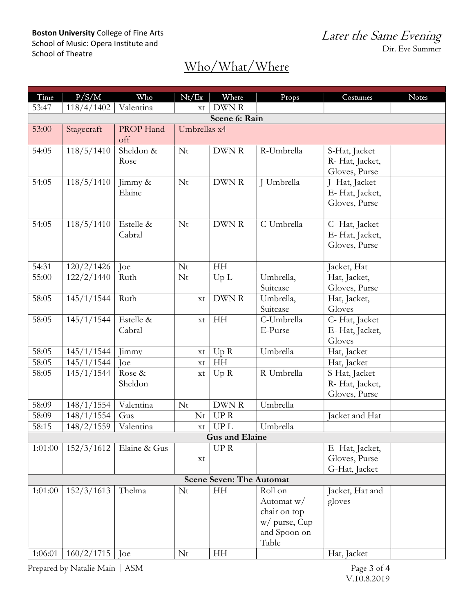| Time                            | P/S/M                          | Who          | Nt/Ex         | Where                 | Props                        | Costumes              | Notes |  |  |
|---------------------------------|--------------------------------|--------------|---------------|-----------------------|------------------------------|-----------------------|-------|--|--|
| 53:47                           | 118/4/1402                     | Valentina    | xt            | DWN R                 |                              |                       |       |  |  |
| Scene 6: Rain                   |                                |              |               |                       |                              |                       |       |  |  |
| 53:00                           | Stagecraft                     | PROP Hand    | Umbrellas x4  |                       |                              |                       |       |  |  |
|                                 |                                | off          |               |                       |                              |                       |       |  |  |
| 54:05                           | 118/5/1410                     | Sheldon &    | Nt            | DWN R                 | R-Umbrella                   | S-Hat, Jacket         |       |  |  |
|                                 |                                | Rose         |               |                       |                              | R- Hat, Jacket,       |       |  |  |
|                                 |                                |              |               |                       |                              | Gloves, Purse         |       |  |  |
| 54:05                           | 118/5/1410                     | Jimmy &      | Nt            | DWN R                 | J-Umbrella                   | J- Hat, Jacket        |       |  |  |
|                                 |                                | Elaine       |               |                       |                              | E-Hat, Jacket,        |       |  |  |
|                                 |                                |              |               |                       |                              | Gloves, Purse         |       |  |  |
| 54:05                           | $\frac{118}{5}/\frac{1410}{5}$ | Estelle &    | Nt            | DWN R                 | C-Umbrella                   | C-Hat, Jacket         |       |  |  |
|                                 |                                | Cabral       |               |                       |                              | E-Hat, Jacket,        |       |  |  |
|                                 |                                |              |               |                       |                              | Gloves, Purse         |       |  |  |
|                                 |                                |              |               |                       |                              |                       |       |  |  |
| 54:31                           | 120/2/1426                     | Joe          | Nt            | HH                    |                              | Jacket, Hat           |       |  |  |
| 55:00                           | 122/2/1440                     | Ruth         | Nt            | Up L                  | Umbrella,                    | Hat, Jacket,          |       |  |  |
|                                 |                                |              |               |                       | Suitcase                     | Gloves, Purse         |       |  |  |
| 58:05                           | 145/1/1544                     | Ruth         | xt            | DWN R                 | Umbrella,                    | Hat, Jacket,          |       |  |  |
|                                 |                                |              |               |                       | Suitcase                     | Gloves                |       |  |  |
| 58:05                           | 145/1/1544                     | Estelle &    | xt            | HH                    | C-Umbrella                   | C-Hat, Jacket         |       |  |  |
|                                 |                                | Cabral       |               |                       | E-Purse                      | E-Hat, Jacket,        |       |  |  |
| 58:05                           | 145/1/1544                     | Jimmy        | $\mathbf{xt}$ | Up R                  | Umbrella                     | Gloves<br>Hat, Jacket |       |  |  |
| 58:05                           | 145/1/1544                     | Ioe          | xt            | HH                    |                              | Hat, Jacket           |       |  |  |
| 58:05                           | 145/1/1544                     | Rose &       | xt            | Up R                  | R-Umbrella                   | S-Hat, Jacket         |       |  |  |
|                                 |                                | Sheldon      |               |                       |                              | R- Hat, Jacket,       |       |  |  |
|                                 |                                |              |               |                       |                              | Gloves, Purse         |       |  |  |
| 58:09                           | 148/1/1554                     | Valentina    | Nt            | DWN R                 | Umbrella                     |                       |       |  |  |
| 58:09                           | 148/1/1554                     | Gus          | Nt            | <b>UPR</b>            |                              | Jacket and Hat        |       |  |  |
| 58:15                           | 148/2/1559                     | Valentina    | xt            | <b>UPL</b>            | Umbrella                     |                       |       |  |  |
|                                 |                                |              |               | <b>Gus and Elaine</b> |                              |                       |       |  |  |
| 1:01:00                         | 152/3/1612                     | Elaine & Gus |               | <b>UPR</b>            |                              | E-Hat, Jacket,        |       |  |  |
|                                 |                                |              | xt            |                       |                              | Gloves, Purse         |       |  |  |
|                                 |                                |              |               |                       |                              | G-Hat, Jacket         |       |  |  |
| <b>Scene Seven: The Automat</b> |                                |              |               |                       |                              |                       |       |  |  |
| 1:01:00                         | 152/3/1613                     | Thelma       | Nt            | HH                    | Roll on                      | Jacket, Hat and       |       |  |  |
|                                 |                                |              |               |                       | Automat $w/$<br>chair on top | gloves                |       |  |  |
|                                 |                                |              |               |                       | w/ purse, Cup                |                       |       |  |  |
|                                 |                                |              |               |                       | and Spoon on                 |                       |       |  |  |
|                                 |                                |              |               |                       | Table                        |                       |       |  |  |
| 1:06:01                         | 160/2/1715                     | Joe          | Nt            | HH                    |                              | Hat, Jacket           |       |  |  |